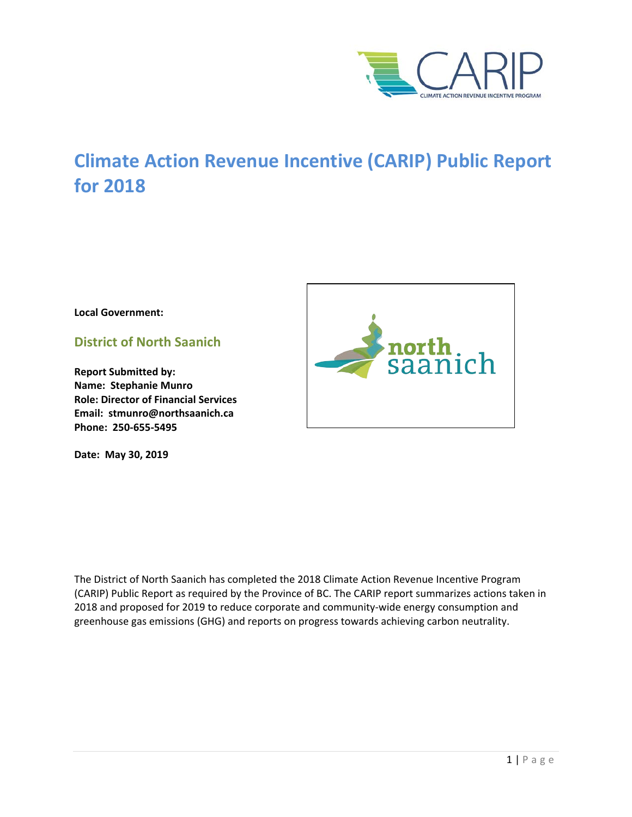

# **Climate Action Revenue Incentive (CARIP) Public Report for 2018**

**Local Government:**

**District of North Saanich**

**Report Submitted by: Name: Stephanie Munro Role: Director of Financial Services Email: stmunro@northsaanich.ca Phone: 250-655-5495**

**Date: May 30, 2019**



The District of North Saanich has completed the 2018 Climate Action Revenue Incentive Program (CARIP) Public Report as required by the Province of BC. The CARIP report summarizes actions taken in 2018 and proposed for 2019 to reduce corporate and community-wide energy consumption and greenhouse gas emissions (GHG) and reports on progress towards achieving carbon neutrality.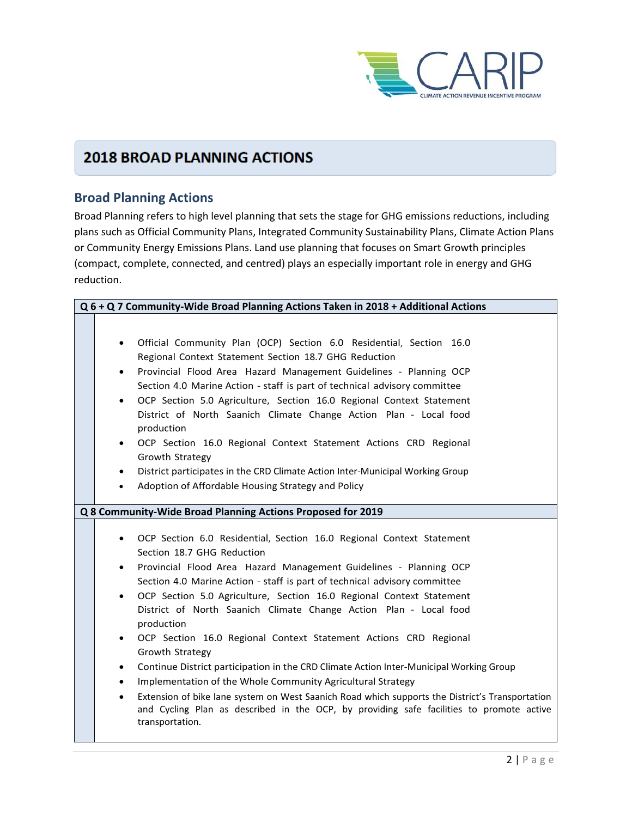

## **2018 BROAD PLANNING ACTIONS**

## **Broad Planning Actions**

Broad Planning refers to high level planning that sets the stage for GHG emissions reductions, including plans such as Official Community Plans, Integrated Community Sustainability Plans, Climate Action Plans or Community Energy Emissions Plans. Land use planning that focuses on Smart Growth principles (compact, complete, connected, and centred) plays an especially important role in energy and GHG reduction.

| Q 6 + Q 7 Community-Wide Broad Planning Actions Taken in 2018 + Additional Actions                                                                                                                                                                                                                                                                                                                                                                                                                                                                                                                                                                                                                                                                                                                                                                                                                                                                                            |  |  |
|-------------------------------------------------------------------------------------------------------------------------------------------------------------------------------------------------------------------------------------------------------------------------------------------------------------------------------------------------------------------------------------------------------------------------------------------------------------------------------------------------------------------------------------------------------------------------------------------------------------------------------------------------------------------------------------------------------------------------------------------------------------------------------------------------------------------------------------------------------------------------------------------------------------------------------------------------------------------------------|--|--|
| Official Community Plan (OCP) Section 6.0 Residential, Section 16.0<br>Regional Context Statement Section 18.7 GHG Reduction<br>Provincial Flood Area Hazard Management Guidelines - Planning OCP<br>٠<br>Section 4.0 Marine Action - staff is part of technical advisory committee<br>OCP Section 5.0 Agriculture, Section 16.0 Regional Context Statement<br>$\bullet$<br>District of North Saanich Climate Change Action Plan - Local food<br>production<br>OCP Section 16.0 Regional Context Statement Actions CRD Regional<br>$\bullet$<br>Growth Strategy<br>District participates in the CRD Climate Action Inter-Municipal Working Group<br>$\bullet$<br>Adoption of Affordable Housing Strategy and Policy<br>$\bullet$                                                                                                                                                                                                                                              |  |  |
| Q 8 Community-Wide Broad Planning Actions Proposed for 2019                                                                                                                                                                                                                                                                                                                                                                                                                                                                                                                                                                                                                                                                                                                                                                                                                                                                                                                   |  |  |
| OCP Section 6.0 Residential, Section 16.0 Regional Context Statement<br>$\bullet$<br>Section 18.7 GHG Reduction<br>Provincial Flood Area Hazard Management Guidelines - Planning OCP<br>$\bullet$<br>Section 4.0 Marine Action - staff is part of technical advisory committee<br>OCP Section 5.0 Agriculture, Section 16.0 Regional Context Statement<br>$\bullet$<br>District of North Saanich Climate Change Action Plan - Local food<br>production<br>OCP Section 16.0 Regional Context Statement Actions CRD Regional<br>$\bullet$<br>Growth Strategy<br>Continue District participation in the CRD Climate Action Inter-Municipal Working Group<br>$\bullet$<br>Implementation of the Whole Community Agricultural Strategy<br>$\bullet$<br>Extension of bike lane system on West Saanich Road which supports the District's Transportation<br>$\bullet$<br>and Cycling Plan as described in the OCP, by providing safe facilities to promote active<br>transportation. |  |  |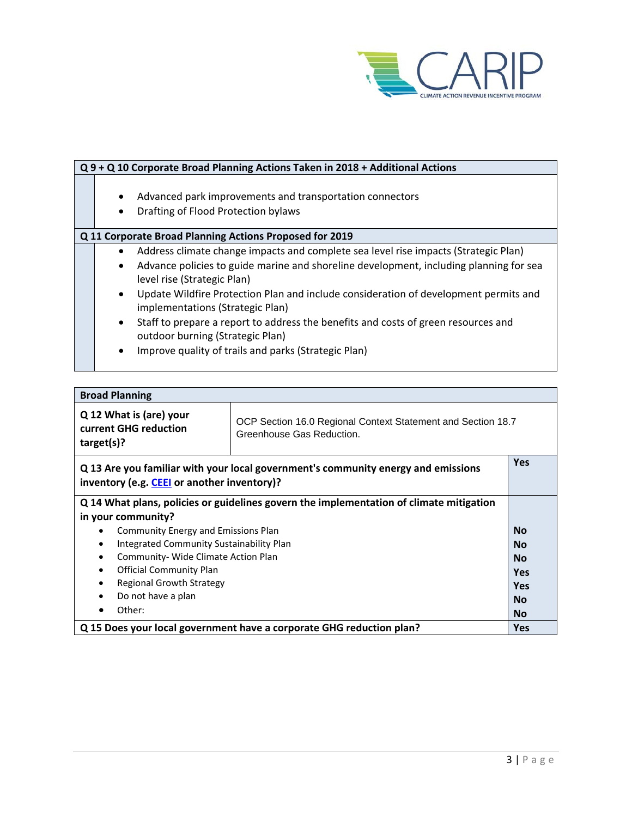

| Q 9 + Q 10 Corporate Broad Planning Actions Taken in 2018 + Additional Actions                                                                                                                                                                                                                                                                                                                                                                                                                                                                                                              |  |  |
|---------------------------------------------------------------------------------------------------------------------------------------------------------------------------------------------------------------------------------------------------------------------------------------------------------------------------------------------------------------------------------------------------------------------------------------------------------------------------------------------------------------------------------------------------------------------------------------------|--|--|
| Advanced park improvements and transportation connectors<br>$\bullet$<br>Drafting of Flood Protection bylaws<br>$\bullet$                                                                                                                                                                                                                                                                                                                                                                                                                                                                   |  |  |
| Q 11 Corporate Broad Planning Actions Proposed for 2019                                                                                                                                                                                                                                                                                                                                                                                                                                                                                                                                     |  |  |
| Address climate change impacts and complete sea level rise impacts (Strategic Plan)<br>$\bullet$<br>Advance policies to guide marine and shoreline development, including planning for sea<br>$\bullet$<br>level rise (Strategic Plan)<br>Update Wildfire Protection Plan and include consideration of development permits and<br>$\bullet$<br>implementations (Strategic Plan)<br>Staff to prepare a report to address the benefits and costs of green resources and<br>$\bullet$<br>outdoor burning (Strategic Plan)<br>Improve quality of trails and parks (Strategic Plan)<br>$\bullet$ |  |  |

| <b>Broad Planning</b>                                                                                                                                       |  |            |
|-------------------------------------------------------------------------------------------------------------------------------------------------------------|--|------------|
| Q 12 What is (are) your<br>OCP Section 16.0 Regional Context Statement and Section 18.7<br>current GHG reduction<br>Greenhouse Gas Reduction.<br>target(s)? |  |            |
| Q 13 Are you familiar with your local government's community energy and emissions<br>inventory (e.g. CEEI or another inventory)?                            |  | <b>Yes</b> |
| Q 14 What plans, policies or guidelines govern the implementation of climate mitigation                                                                     |  |            |
| in your community?                                                                                                                                          |  |            |
| Community Energy and Emissions Plan                                                                                                                         |  | <b>No</b>  |
| Integrated Community Sustainability Plan<br>$\bullet$                                                                                                       |  | <b>No</b>  |
| Community- Wide Climate Action Plan<br>$\bullet$                                                                                                            |  | <b>No</b>  |
| <b>Official Community Plan</b><br>$\bullet$                                                                                                                 |  | <b>Yes</b> |
| <b>Regional Growth Strategy</b>                                                                                                                             |  | <b>Yes</b> |
| Do not have a plan                                                                                                                                          |  | <b>No</b>  |
| Other:                                                                                                                                                      |  | <b>No</b>  |
| Q 15 Does your local government have a corporate GHG reduction plan?                                                                                        |  | <b>Yes</b> |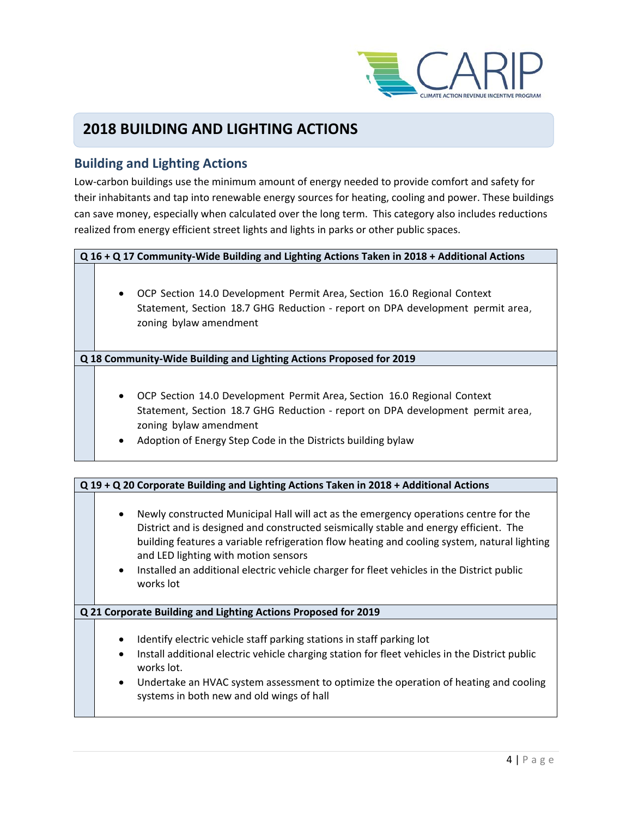

## **2018 BUILDING AND LIGHTING ACTIONS**

### **Building and Lighting Actions**

Low-carbon buildings use the minimum amount of energy needed to provide comfort and safety for their inhabitants and tap into renewable energy sources for heating, cooling and power. These buildings can save money, especially when calculated over the long term. This category also includes reductions realized from energy efficient street lights and lights in parks or other public spaces.

#### **Q 16 + Q 17 Community-Wide Building and Lighting Actions Taken in 2018 + Additional Actions**

• OCP Section 14.0 Development Permit Area, Section 16.0 Regional Context Statement, Section 18.7 GHG Reduction - report on DPA development permit area, zoning bylaw amendment

**Q 18 Community-Wide Building and Lighting Actions Proposed for 2019**

- OCP Section 14.0 Development Permit Area, Section 16.0 Regional Context Statement, Section 18.7 GHG Reduction - report on DPA development permit area, zoning bylaw amendment
- Adoption of Energy Step Code in the Districts building bylaw

| Q 19 + Q 20 Corporate Building and Lighting Actions Taken in 2018 + Additional Actions                                                                                                                                                                                                                                                                                                                                                        |  |  |
|-----------------------------------------------------------------------------------------------------------------------------------------------------------------------------------------------------------------------------------------------------------------------------------------------------------------------------------------------------------------------------------------------------------------------------------------------|--|--|
| Newly constructed Municipal Hall will act as the emergency operations centre for the<br>District and is designed and constructed seismically stable and energy efficient. The<br>building features a variable refrigeration flow heating and cooling system, natural lighting<br>and LED lighting with motion sensors<br>Installed an additional electric vehicle charger for fleet vehicles in the District public<br>$\bullet$<br>works lot |  |  |
| Q 21 Corporate Building and Lighting Actions Proposed for 2019                                                                                                                                                                                                                                                                                                                                                                                |  |  |
| Identify electric vehicle staff parking stations in staff parking lot<br>$\bullet$<br>Install additional electric vehicle charging station for fleet vehicles in the District public<br>$\bullet$<br>works lot.<br>Undertake an HVAC system assessment to optimize the operation of heating and cooling<br>$\bullet$<br>systems in both new and old wings of hall                                                                             |  |  |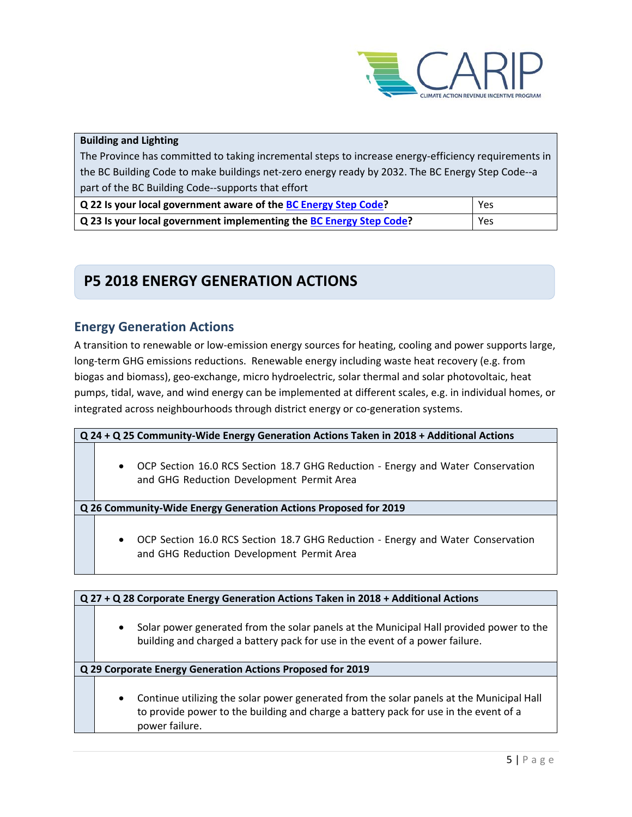

#### **Building and Lighting**

The Province has committed to taking incremental steps to increase energy-efficiency requirements in the BC Building Code to make buildings net-zero energy ready by 2032. The BC Energy Step Code--a part of the BC Building Code--supports that effort

| Q 22 Is your local government aware of the BC Energy Step Code?     | Yes |
|---------------------------------------------------------------------|-----|
| Q 23 Is your local government implementing the BC Energy Step Code? | Yes |

## **P5 2018 ENERGY GENERATION ACTIONS**

### **Energy Generation Actions**

A transition to renewable or low-emission energy sources for heating, cooling and power supports large, long-term GHG emissions reductions. Renewable energy including waste heat recovery (e.g. from biogas and biomass), geo-exchange, micro hydroelectric, solar thermal and solar photovoltaic, heat pumps, tidal, wave, and wind energy can be implemented at different scales, e.g. in individual homes, or integrated across neighbourhoods through district energy or co-generation systems.

**Q 24 + Q 25 Community-Wide Energy Generation Actions Taken in 2018 + Additional Actions** 

• OCP Section 16.0 RCS Section 18.7 GHG Reduction - Energy and Water Conservation and GHG Reduction Development Permit Area

**Q 26 Community-Wide Energy Generation Actions Proposed for 2019**

• OCP Section 16.0 RCS Section 18.7 GHG Reduction - Energy and Water Conservation and GHG Reduction Development Permit Area

| Q 27 + Q 28 Corporate Energy Generation Actions Taken in 2018 + Additional Actions                                                                                                                              |  |  |
|-----------------------------------------------------------------------------------------------------------------------------------------------------------------------------------------------------------------|--|--|
| Solar power generated from the solar panels at the Municipal Hall provided power to the<br>$\bullet$<br>building and charged a battery pack for use in the event of a power failure.                            |  |  |
| Q 29 Corporate Energy Generation Actions Proposed for 2019                                                                                                                                                      |  |  |
| Continue utilizing the solar power generated from the solar panels at the Municipal Hall<br>$\bullet$<br>to provide power to the building and charge a battery pack for use in the event of a<br>power failure. |  |  |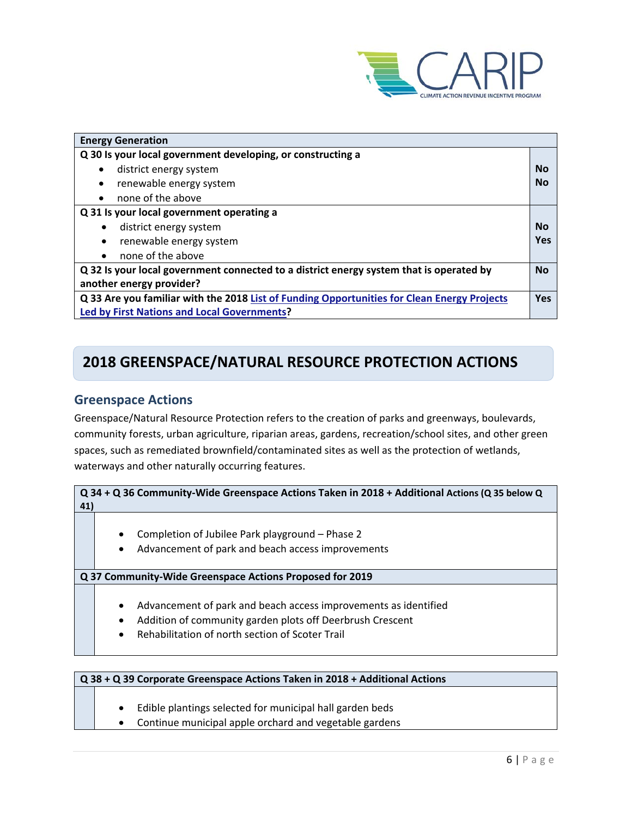

| <b>Energy Generation</b>                                                                                            |     |
|---------------------------------------------------------------------------------------------------------------------|-----|
| Q 30 Is your local government developing, or constructing a                                                         |     |
| district energy system<br>$\bullet$                                                                                 | Nο  |
| renewable energy system<br>$\bullet$                                                                                | No  |
| none of the above<br>$\bullet$                                                                                      |     |
| Q 31 Is your local government operating a                                                                           |     |
| district energy system                                                                                              | No  |
| renewable energy system                                                                                             | Yes |
| none of the above                                                                                                   |     |
| Q 32 Is your local government connected to a district energy system that is operated by<br>another energy provider? |     |
| Q 33 Are you familiar with the 2018 List of Funding Opportunities for Clean Energy Projects                         |     |
| <b>Led by First Nations and Local Governments?</b>                                                                  |     |

## **2018 GREENSPACE/NATURAL RESOURCE PROTECTION ACTIONS**

### **Greenspace Actions**

Greenspace/Natural Resource Protection refers to the creation of parks and greenways, boulevards, community forests, urban agriculture, riparian areas, gardens, recreation/school sites, and other green spaces, such as remediated brownfield/contaminated sites as well as the protection of wetlands, waterways and other naturally occurring features.

**Q 34 + Q 36 Community-Wide Greenspace Actions Taken in 2018 + Additional Actions (Q 35 below Q 41)**

- Completion of Jubilee Park playground Phase 2
- Advancement of park and beach access improvements

**Q 37 Community-Wide Greenspace Actions Proposed for 2019**

- Advancement of park and beach access improvements as identified
- Addition of community garden plots off Deerbrush Crescent
- Rehabilitation of north section of Scoter Trail

#### **Q 38 + Q 39 Corporate Greenspace Actions Taken in 2018 + Additional Actions**

- Edible plantings selected for municipal hall garden beds
- Continue municipal apple orchard and vegetable gardens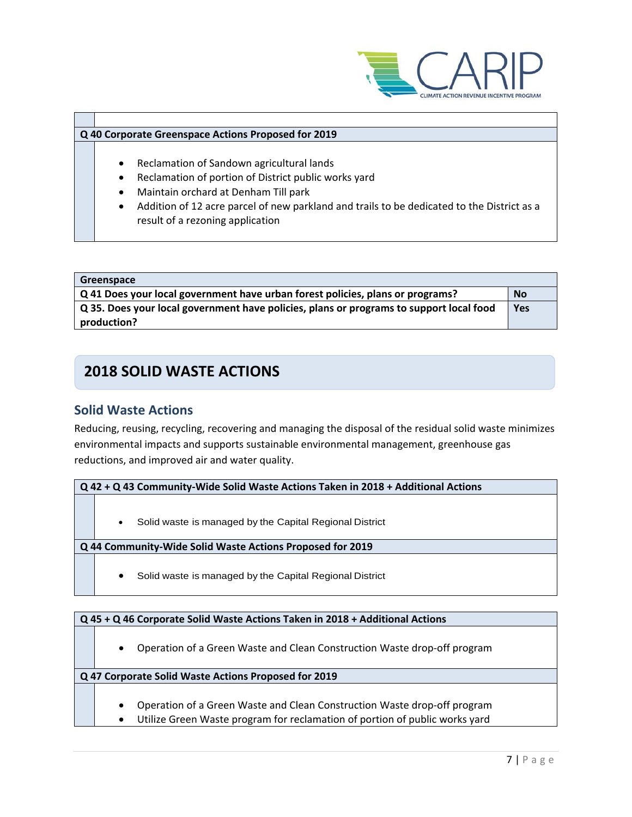

#### **Q 40 Corporate Greenspace Actions Proposed for 2019**

- Reclamation of Sandown agricultural lands
- Reclamation of portion of District public works yard
- Maintain orchard at Denham Till park
- Addition of 12 acre parcel of new parkland and trails to be dedicated to the District as a result of a rezoning application

| Greenspace                                                                              |            |
|-----------------------------------------------------------------------------------------|------------|
| Q 41 Does your local government have urban forest policies, plans or programs?          | <b>No</b>  |
| Q 35. Does your local government have policies, plans or programs to support local food | <b>Yes</b> |
| production?                                                                             |            |

## **2018 SOLID WASTE ACTIONS**

### **Solid Waste Actions**

Reducing, reusing, recycling, recovering and managing the disposal of the residual solid waste minimizes environmental impacts and supports sustainable environmental management, greenhouse gas reductions, and improved air and water quality.

**Q 42 + Q 43 Community-Wide Solid Waste Actions Taken in 2018 + Additional Actions**

Solid waste is managed by the Capital Regional District

#### **Q 44 Community-Wide Solid Waste Actions Proposed for 2019**

• Solid waste is managed by the Capital Regional District

#### **Q 45 + Q 46 Corporate Solid Waste Actions Taken in 2018 + Additional Actions**

• Operation of a Green Waste and Clean Construction Waste drop-off program

- Operation of a Green Waste and Clean Construction Waste drop-off program
- Utilize Green Waste program for reclamation of portion of public works yard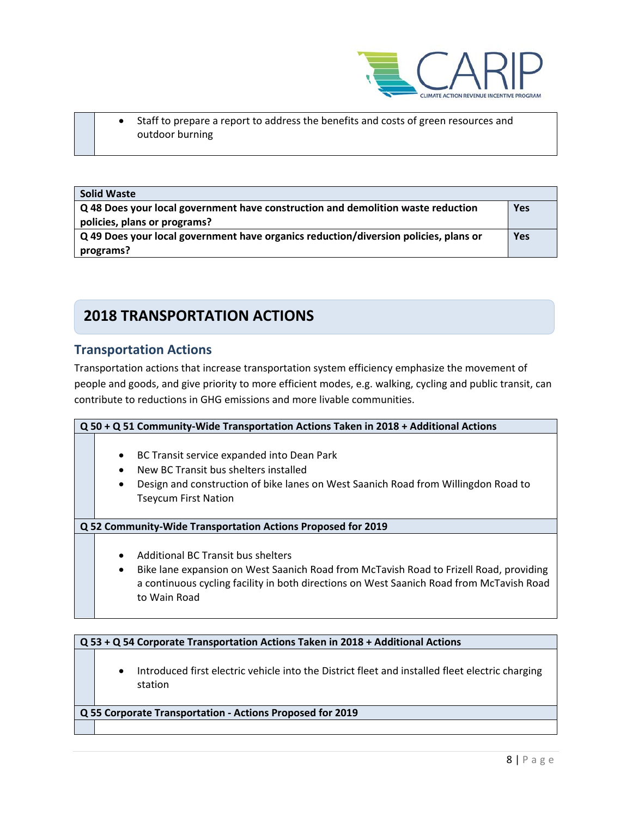

• Staff to prepare a report to address the benefits and costs of green resources and outdoor burning

| <b>Solid Waste</b>                                                                   |            |
|--------------------------------------------------------------------------------------|------------|
| Q 48 Does your local government have construction and demolition waste reduction     |            |
| policies, plans or programs?                                                         |            |
| Q 49 Does your local government have organics reduction/diversion policies, plans or | <b>Yes</b> |
| programs?                                                                            |            |

## **2018 TRANSPORTATION ACTIONS**

### **Transportation Actions**

Transportation actions that increase transportation system efficiency emphasize the movement of people and goods, and give priority to more efficient modes, e.g. walking, cycling and public transit, can contribute to reductions in GHG emissions and more livable communities.

| Q 50 + Q 51 Community-Wide Transportation Actions Taken in 2018 + Additional Actions                                                                                                                                                                               |  |  |  |
|--------------------------------------------------------------------------------------------------------------------------------------------------------------------------------------------------------------------------------------------------------------------|--|--|--|
| BC Transit service expanded into Dean Park<br>$\bullet$<br>New BC Transit bus shelters installed<br>Design and construction of bike lanes on West Saanich Road from Willingdon Road to<br><b>Tseycum First Nation</b>                                              |  |  |  |
| Q 52 Community-Wide Transportation Actions Proposed for 2019                                                                                                                                                                                                       |  |  |  |
| Additional BC Transit bus shelters<br>$\bullet$<br>Bike lane expansion on West Saanich Road from McTavish Road to Frizell Road, providing<br>$\bullet$<br>a continuous cycling facility in both directions on West Saanich Road from McTavish Road<br>to Wain Road |  |  |  |

### **Q 53 + Q 54 Corporate Transportation Actions Taken in 2018 + Additional Actions**

• Introduced first electric vehicle into the District fleet and installed fleet electric charging station

**Q 55 Corporate Transportation - Actions Proposed for 2019**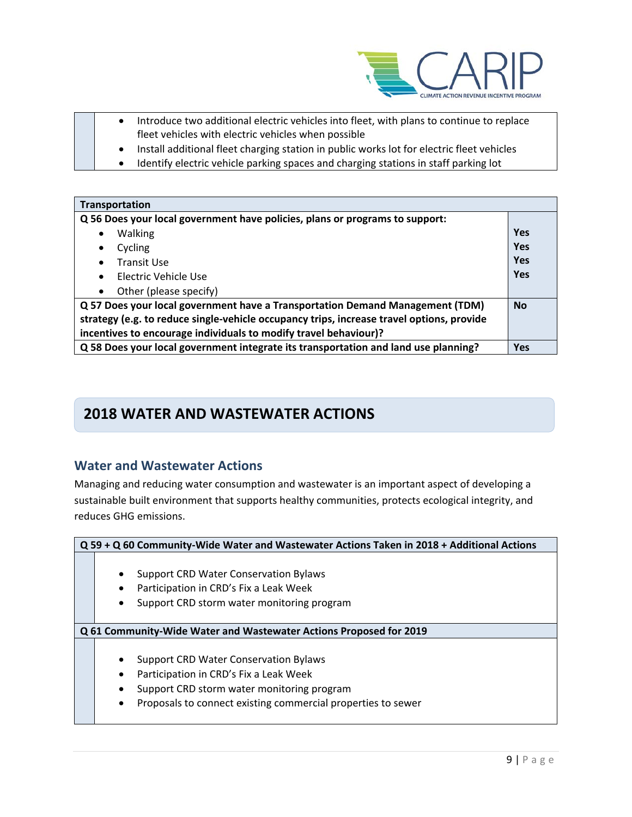

- Introduce two additional electric vehicles into fleet, with plans to continue to replace fleet vehicles with electric vehicles when possible
- Install additional fleet charging station in public works lot for electric fleet vehicles
- Identify electric vehicle parking spaces and charging stations in staff parking lot

| Transportation                                                                            |            |
|-------------------------------------------------------------------------------------------|------------|
| Q 56 Does your local government have policies, plans or programs to support:              |            |
| <b>Walking</b><br>$\bullet$                                                               | <b>Yes</b> |
| Cycling<br>$\bullet$                                                                      | <b>Yes</b> |
| <b>Transit Use</b><br>$\bullet$                                                           | <b>Yes</b> |
| Electric Vehicle Use<br>$\bullet$                                                         | <b>Yes</b> |
| Other (please specify)<br>$\bullet$                                                       |            |
| Q 57 Does your local government have a Transportation Demand Management (TDM)             |            |
| strategy (e.g. to reduce single-vehicle occupancy trips, increase travel options, provide |            |
| incentives to encourage individuals to modify travel behaviour)?                          |            |
| Q 58 Does your local government integrate its transportation and land use planning?       | <b>Yes</b> |

## **2018 WATER AND WASTEWATER ACTIONS**

### **Water and Wastewater Actions**

Managing and reducing water consumption and wastewater is an important aspect of developing a sustainable built environment that supports healthy communities, protects ecological integrity, and reduces GHG emissions.

| Q 59 + Q 60 Community-Wide Water and Wastewater Actions Taken in 2018 + Additional Actions                                                                                                                     |  |  |
|----------------------------------------------------------------------------------------------------------------------------------------------------------------------------------------------------------------|--|--|
| <b>Support CRD Water Conservation Bylaws</b><br>٠<br>Participation in CRD's Fix a Leak Week<br>Support CRD storm water monitoring program                                                                      |  |  |
| Q 61 Community-Wide Water and Wastewater Actions Proposed for 2019                                                                                                                                             |  |  |
| <b>Support CRD Water Conservation Bylaws</b><br>Participation in CRD's Fix a Leak Week<br>Support CRD storm water monitoring program<br>٠<br>Proposals to connect existing commercial properties to sewer<br>٠ |  |  |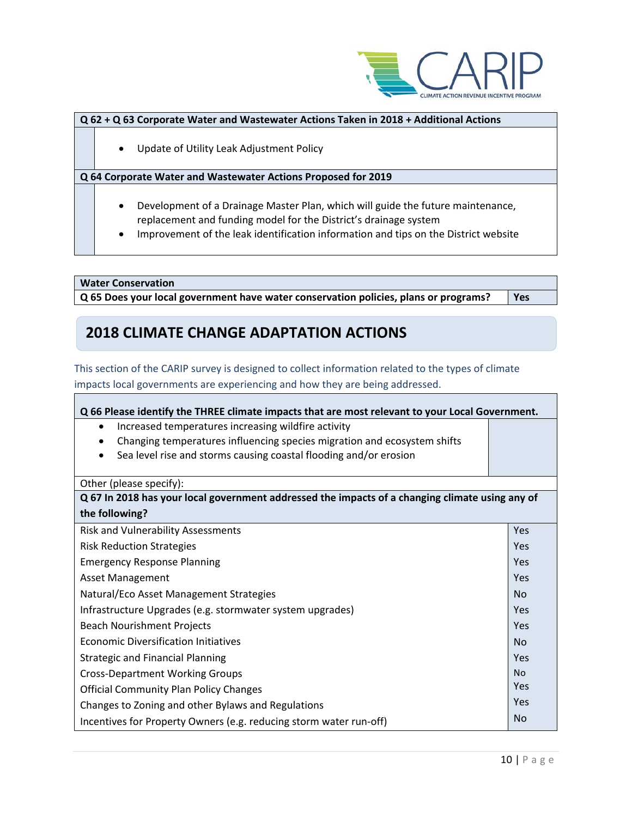

#### **Q 62 + Q 63 Corporate Water and Wastewater Actions Taken in 2018 + Additional Actions**

• Update of Utility Leak Adjustment Policy

#### **Q 64 Corporate Water and Wastewater Actions Proposed for 2019**

- Development of a Drainage Master Plan, which will guide the future maintenance, replacement and funding model for the District's drainage system
- Improvement of the leak identification information and tips on the District website

**Water Conservation**

**Q 65 Does your local government have water conservation policies, plans or programs? Yes**

## **2018 CLIMATE CHANGE ADAPTATION ACTIONS**

This section of the CARIP survey is designed to collect information related to the types of climate

impacts local governments are experiencing and how they are being addressed.

**Q 66 Please identify the THREE climate impacts that are most relevant to your Local Government.**

- Increased temperatures increasing wildfire activity
- Changing temperatures influencing species migration and ecosystem shifts
- Sea level rise and storms causing coastal flooding and/or erosion

#### Other (please specify):

| Q 67 In 2018 has your local government addressed the impacts of a changing climate using any of |            |
|-------------------------------------------------------------------------------------------------|------------|
| the following?                                                                                  |            |
| <b>Risk and Vulnerability Assessments</b>                                                       | <b>Yes</b> |
| <b>Risk Reduction Strategies</b>                                                                | Yes        |
| <b>Emergency Response Planning</b>                                                              | Yes        |
| Asset Management                                                                                | Yes        |
| Natural/Eco Asset Management Strategies                                                         | No.        |
| Infrastructure Upgrades (e.g. stormwater system upgrades)                                       | Yes        |
| <b>Beach Nourishment Projects</b>                                                               | Yes        |
| <b>Economic Diversification Initiatives</b>                                                     | <b>No</b>  |
| <b>Strategic and Financial Planning</b>                                                         | Yes        |
| <b>Cross-Department Working Groups</b>                                                          | <b>No</b>  |
| <b>Official Community Plan Policy Changes</b>                                                   | Yes        |
| Changes to Zoning and other Bylaws and Regulations                                              | Yes        |
| Incentives for Property Owners (e.g. reducing storm water run-off)                              | <b>No</b>  |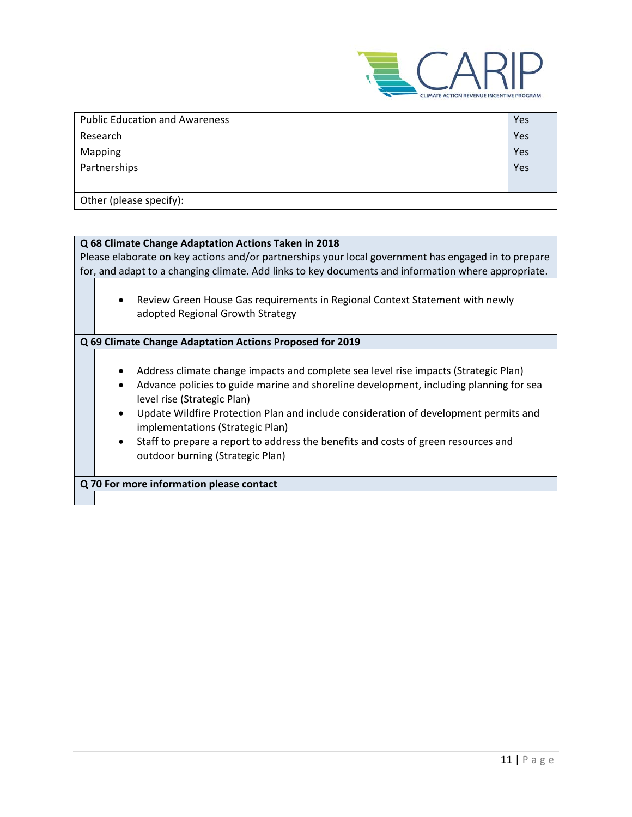

| <b>Public Education and Awareness</b> | Yes |
|---------------------------------------|-----|
| Research                              | Yes |
| Mapping                               | Yes |
| Partnerships                          | Yes |
|                                       |     |
| Other (please specify):               |     |

| Q 68 Climate Change Adaptation Actions Taken in 2018                                                |                                                                                                     |  |
|-----------------------------------------------------------------------------------------------------|-----------------------------------------------------------------------------------------------------|--|
| Please elaborate on key actions and/or partnerships your local government has engaged in to prepare |                                                                                                     |  |
|                                                                                                     | for, and adapt to a changing climate. Add links to key documents and information where appropriate. |  |
|                                                                                                     |                                                                                                     |  |
|                                                                                                     | Review Green House Gas requirements in Regional Context Statement with newly<br>$\bullet$           |  |
|                                                                                                     | adopted Regional Growth Strategy                                                                    |  |
|                                                                                                     |                                                                                                     |  |
|                                                                                                     | Q 69 Climate Change Adaptation Actions Proposed for 2019                                            |  |
|                                                                                                     |                                                                                                     |  |
|                                                                                                     | Address climate change impacts and complete sea level rise impacts (Strategic Plan)<br>$\bullet$    |  |
|                                                                                                     | Advance policies to guide marine and shoreline development, including planning for sea<br>$\bullet$ |  |
|                                                                                                     | level rise (Strategic Plan)                                                                         |  |
|                                                                                                     | Update Wildfire Protection Plan and include consideration of development permits and<br>$\bullet$   |  |
|                                                                                                     | implementations (Strategic Plan)                                                                    |  |
|                                                                                                     | Staff to prepare a report to address the benefits and costs of green resources and<br>$\bullet$     |  |
|                                                                                                     | outdoor burning (Strategic Plan)                                                                    |  |
|                                                                                                     |                                                                                                     |  |
|                                                                                                     | Q 70 For more information please contact                                                            |  |
|                                                                                                     |                                                                                                     |  |
|                                                                                                     |                                                                                                     |  |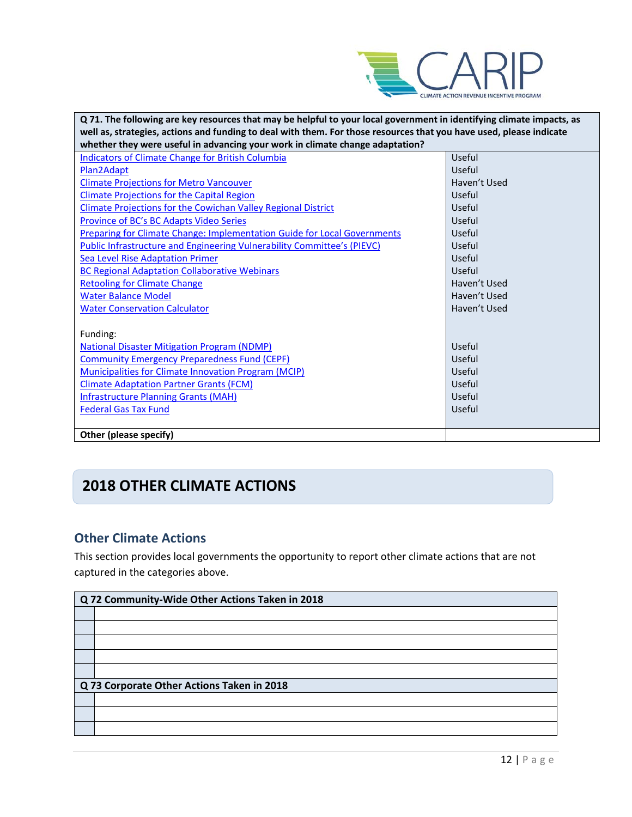

| Q 71. The following are key resources that may be helpful to your local government in identifying climate impacts, as |              |  |
|-----------------------------------------------------------------------------------------------------------------------|--------------|--|
| well as, strategies, actions and funding to deal with them. For those resources that you have used, please indicate   |              |  |
| whether they were useful in advancing your work in climate change adaptation?                                         |              |  |
| <b>Indicators of Climate Change for British Columbia</b>                                                              | Useful       |  |
| Plan2Adapt                                                                                                            | Useful       |  |
| <b>Climate Projections for Metro Vancouver</b>                                                                        | Haven't Used |  |
| <b>Climate Projections for the Capital Region</b>                                                                     | Useful       |  |
| <b>Climate Projections for the Cowichan Valley Regional District</b>                                                  | Useful       |  |
| Province of BC's BC Adapts Video Series                                                                               | Useful       |  |
| <b>Preparing for Climate Change: Implementation Guide for Local Governments</b>                                       | Useful       |  |
| Public Infrastructure and Engineering Vulnerability Committee's (PIEVC)                                               | Useful       |  |
| Sea Level Rise Adaptation Primer                                                                                      | Useful       |  |
| <b>BC Regional Adaptation Collaborative Webinars</b>                                                                  | Useful       |  |
| <b>Retooling for Climate Change</b>                                                                                   | Haven't Used |  |
| <b>Water Balance Model</b>                                                                                            | Haven't Used |  |
| <b>Water Conservation Calculator</b>                                                                                  | Haven't Used |  |
|                                                                                                                       |              |  |
| Funding:                                                                                                              |              |  |
| <b>National Disaster Mitigation Program (NDMP)</b>                                                                    | Useful       |  |
| <b>Community Emergency Preparedness Fund (CEPF)</b>                                                                   | Useful       |  |
| <b>Municipalities for Climate Innovation Program (MCIP)</b>                                                           | Useful       |  |
| <b>Climate Adaptation Partner Grants (FCM)</b>                                                                        | Useful       |  |
| <b>Infrastructure Planning Grants (MAH)</b>                                                                           | Useful       |  |
| <b>Federal Gas Tax Fund</b>                                                                                           | Useful       |  |
|                                                                                                                       |              |  |
| Other (please specify)                                                                                                |              |  |

## **2018 OTHER CLIMATE ACTIONS**

### **Other Climate Actions**

This section provides local governments the opportunity to report other climate actions that are not captured in the categories above.

| Q 72 Community-Wide Other Actions Taken in 2018 |                                            |  |  |
|-------------------------------------------------|--------------------------------------------|--|--|
|                                                 |                                            |  |  |
|                                                 |                                            |  |  |
|                                                 |                                            |  |  |
|                                                 |                                            |  |  |
|                                                 |                                            |  |  |
|                                                 | Q 73 Corporate Other Actions Taken in 2018 |  |  |
|                                                 |                                            |  |  |
|                                                 |                                            |  |  |
|                                                 |                                            |  |  |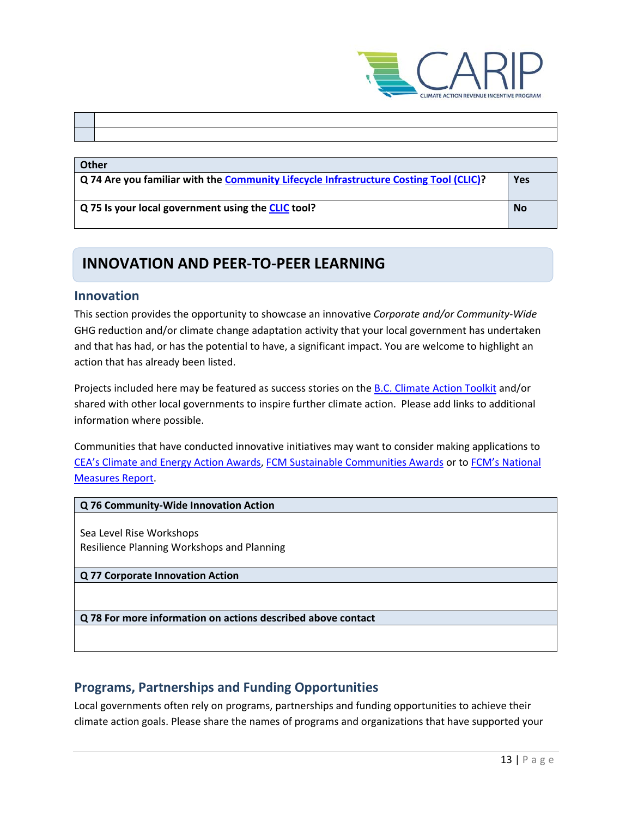

#### **Other**

| $\vert$ Q 74 Are you familiar with the Community Lifecycle Infrastructure Costing Tool (CLIC)? | Yes       |
|------------------------------------------------------------------------------------------------|-----------|
| Q 75 Is your local government using the CLIC tool?                                             | <b>No</b> |

## **INNOVATION AND PEER-TO-PEER LEARNING**

#### **Innovation**

This section provides the opportunity to showcase an innovative *Corporate and/or Community-Wide*  GHG reduction and/or climate change adaptation activity that your local government has undertaken and that has had, or has the potential to have, a significant impact. You are welcome to highlight an action that has already been listed.

Projects included here may be featured as success stories on the **B.C. Climate Action Toolkit and/or** shared with other local governments to inspire further climate action. Please add links to additional information where possible.

Communities that have conducted innovative initiatives may want to consider making applications to [CEA's Climate and Energy Action Awards,](http://communityenergy.bc.ca/climate-and-energy-action-awards/) [FCM Sustainable Communities Awards](https://fcm.ca/home/awards/sustainable-communities-awards.htm) or t[o FCM's National](https://fcm.ca/home/programs/partners-for-climate-protection/national-measures-report.htm)  [Measures Report.](https://fcm.ca/home/programs/partners-for-climate-protection/national-measures-report.htm)

#### **Q 76 Community-Wide Innovation Action**

Sea Level Rise Workshops Resilience Planning Workshops and Planning

**Q 77 Corporate Innovation Action**

**Q 78 For more information on actions described above contact**

### **Programs, Partnerships and Funding Opportunities**

Local governments often rely on programs, partnerships and funding opportunities to achieve their climate action goals. Please share the names of programs and organizations that have supported your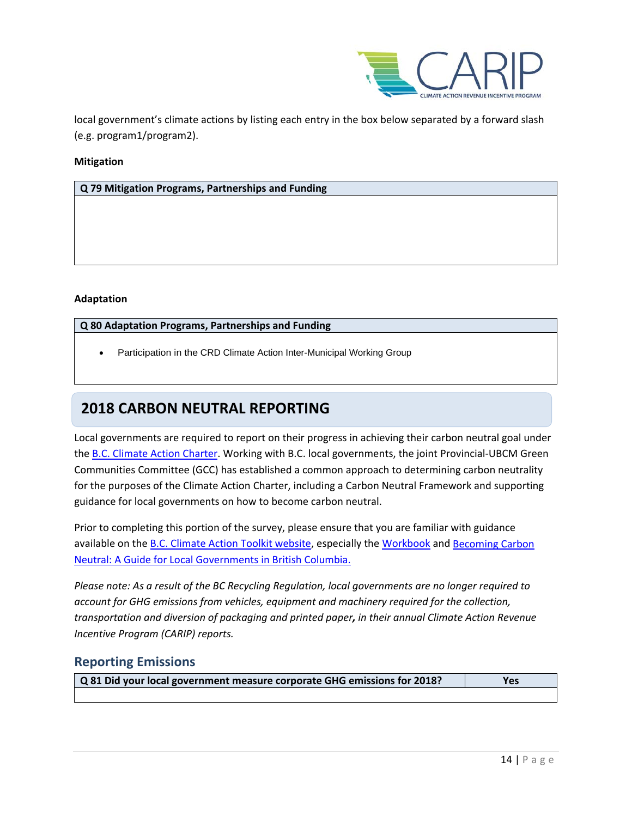

local government's climate actions by listing each entry in the box below separated by a forward slash (e.g. program1/program2).

#### **Mitigation**

**Q 79 Mitigation Programs, Partnerships and Funding**

#### **Adaptation**

#### **Q 80 Adaptation Programs, Partnerships and Funding**

• Participation in the CRD Climate Action Inter-Municipal Working Group

## **2018 CARBON NEUTRAL REPORTING**

Local governments are required to report on their progress in achieving their carbon neutral goal under the [B.C. Climate Action Charter.](https://www2.gov.bc.ca/gov/content/governments/local-governments/climate-action/bc-climate-action-charter) Working with B.C. local governments, the joint Provincial-UBCM Green Communities Committee (GCC) has established a common approach to determining carbon neutrality for the purposes of the Climate Action Charter, including a Carbon Neutral Framework and supporting guidance for local governments on how to become carbon neutral.

Prior to completing this portion of the survey, please ensure that you are familiar with guidance available on the **B.C. Climate Action Toolkit website**, especially the [Workbook](https://www.toolkit.bc.ca/sites/default/files/CarbonNeutralWorkbook.V2_noapdcs_03.12_1.pdf) and Becoming Carbon [Neutral: A Guide for Local Governments in British Columbia.](http://www.toolkit.bc.ca/sites/default/files/Becoming%20Carbon%20Neutral%20V3%20FINAL%20July%202014_0.pdf)

*Please note: As a result of the BC Recycling Regulation, local governments are no longer required to account for GHG emissions from vehicles, equipment and machinery required for the collection, transportation and diversion of packaging and printed paper, in their annual Climate Action Revenue Incentive Program (CARIP) reports.*

### **Reporting Emissions**

**Q 81 Did your local government measure corporate GHG emissions for 2018? Yes**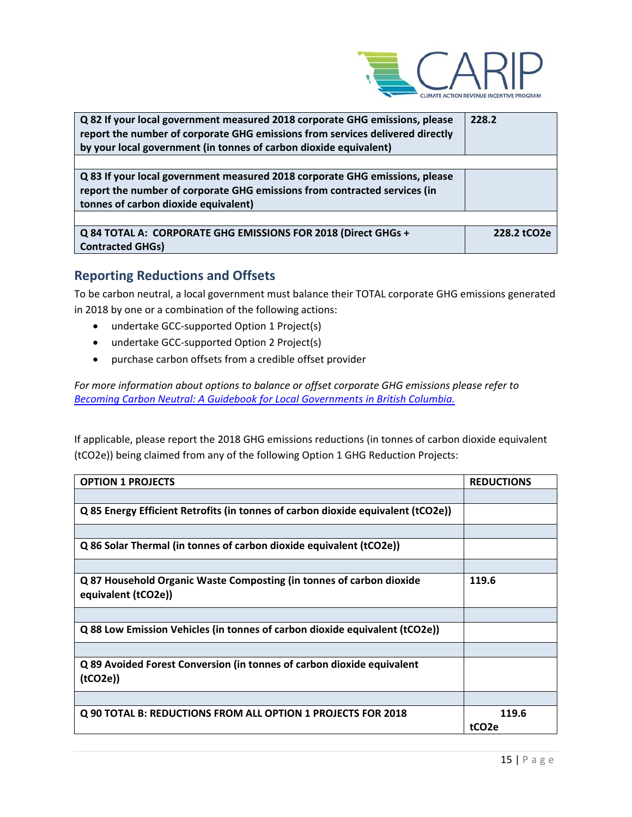

| Q 82 If your local government measured 2018 corporate GHG emissions, please<br>report the number of corporate GHG emissions from services delivered directly<br>by your local government (in tonnes of carbon dioxide equivalent) | 228.2       |
|-----------------------------------------------------------------------------------------------------------------------------------------------------------------------------------------------------------------------------------|-------------|
|                                                                                                                                                                                                                                   |             |
| Q 83 If your local government measured 2018 corporate GHG emissions, please<br>report the number of corporate GHG emissions from contracted services (in                                                                          |             |
| tonnes of carbon dioxide equivalent)                                                                                                                                                                                              |             |
|                                                                                                                                                                                                                                   |             |
| Q 84 TOTAL A: CORPORATE GHG EMISSIONS FOR 2018 (Direct GHGs +<br><b>Contracted GHGs)</b>                                                                                                                                          | 228.2 tCO2e |

### **Reporting Reductions and Offsets**

To be carbon neutral, a local government must balance their TOTAL corporate GHG emissions generated in 2018 by one or a combination of the following actions:

- undertake GCC-supported Option 1 Project(s)
- undertake GCC-supported Option 2 Project(s)
- purchase carbon offsets from a credible offset provider

*For more information about options to balance or offset corporate GHG emissions please refer to [Becoming Carbon Neutral: A Guidebook for Local Governments in British Columbia.](http://www.toolkit.bc.ca/sites/default/files/Becoming%20Carbon%20Neutral%20V3%20FINAL%20July%202014_0.pdf)*

If applicable, please report the 2018 GHG emissions reductions (in tonnes of carbon dioxide equivalent (tCO2e)) being claimed from any of the following Option 1 GHG Reduction Projects:

| <b>OPTION 1 PROJECTS</b>                                                                    | <b>REDUCTIONS</b> |
|---------------------------------------------------------------------------------------------|-------------------|
|                                                                                             |                   |
| Q 85 Energy Efficient Retrofits (in tonnes of carbon dioxide equivalent (tCO2e))            |                   |
|                                                                                             |                   |
| Q 86 Solar Thermal (in tonnes of carbon dioxide equivalent (tCO2e))                         |                   |
|                                                                                             |                   |
| Q 87 Household Organic Waste Composting (in tonnes of carbon dioxide<br>equivalent (tCO2e)) | 119.6             |
|                                                                                             |                   |
| Q 88 Low Emission Vehicles (in tonnes of carbon dioxide equivalent (tCO2e))                 |                   |
|                                                                                             |                   |
| Q 89 Avoided Forest Conversion (in tonnes of carbon dioxide equivalent<br>(tCO2e)           |                   |
|                                                                                             |                   |
| Q 90 TOTAL B: REDUCTIONS FROM ALL OPTION 1 PROJECTS FOR 2018                                | 119.6             |
|                                                                                             | tCO <sub>2e</sub> |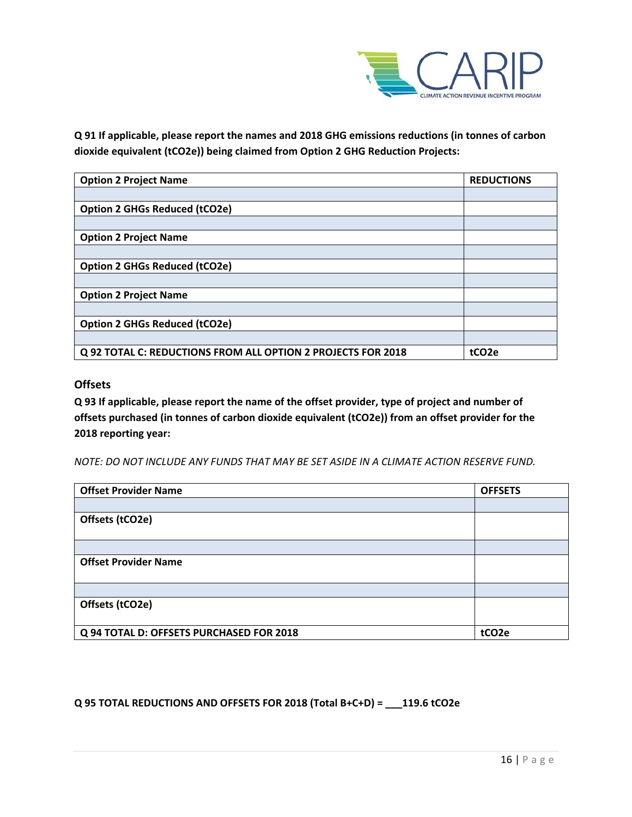

**Q 91 If applicable, please report the names and 2018 GHG emissions reductions (in tonnes of carbon dioxide equivalent (tCO2e)) being claimed from Option 2 GHG Reduction Projects:**

| <b>Option 2 Project Name</b>                                 | <b>REDUCTIONS</b> |
|--------------------------------------------------------------|-------------------|
|                                                              |                   |
| <b>Option 2 GHGs Reduced (tCO2e)</b>                         |                   |
|                                                              |                   |
| <b>Option 2 Project Name</b>                                 |                   |
|                                                              |                   |
| <b>Option 2 GHGs Reduced (tCO2e)</b>                         |                   |
|                                                              |                   |
| <b>Option 2 Project Name</b>                                 |                   |
|                                                              |                   |
| <b>Option 2 GHGs Reduced (tCO2e)</b>                         |                   |
|                                                              |                   |
| Q 92 TOTAL C: REDUCTIONS FROM ALL OPTION 2 PROJECTS FOR 2018 | tCO <sub>2e</sub> |

#### **Offsets**

**Q 93 If applicable, please report the name of the offset provider, type of project and number of offsets purchased (in tonnes of carbon dioxide equivalent (tCO2e)) from an offset provider for the 2018 reporting year:**

*NOTE: DO NOT INCLUDE ANY FUNDS THAT MAY BE SET ASIDE IN A CLIMATE ACTION RESERVE FUND.*

| <b>Offset Provider Name</b>              | <b>OFFSETS</b>    |
|------------------------------------------|-------------------|
|                                          |                   |
| Offsets (tCO2e)                          |                   |
|                                          |                   |
|                                          |                   |
| <b>Offset Provider Name</b>              |                   |
|                                          |                   |
|                                          |                   |
| Offsets (tCO2e)                          |                   |
|                                          |                   |
| Q 94 TOTAL D: OFFSETS PURCHASED FOR 2018 | tCO <sub>2e</sub> |

#### **Q 95 TOTAL REDUCTIONS AND OFFSETS FOR 2018 (Total B+C+D) = \_\_\_119.6 tCO2e**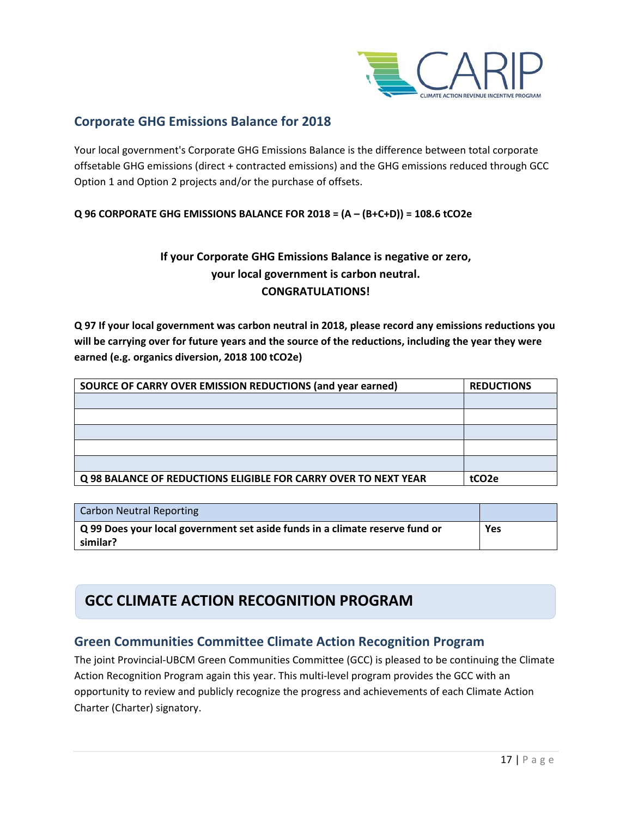

## **Corporate GHG Emissions Balance for 2018**

Your local government's Corporate GHG Emissions Balance is the difference between total corporate offsetable GHG emissions (direct + contracted emissions) and the GHG emissions reduced through GCC Option 1 and Option 2 projects and/or the purchase of offsets.

#### **Q 96 CORPORATE GHG EMISSIONS BALANCE FOR 2018 = (A – (B+C+D)) = 108.6 tCO2e**

### **If your Corporate GHG Emissions Balance is negative or zero, your local government is carbon neutral. CONGRATULATIONS!**

**Q 97 If your local government was carbon neutral in 2018, please record any emissions reductions you will be carrying over for future years and the source of the reductions, including the year they were earned (e.g. organics diversion, 2018 100 tCO2e)**

| SOURCE OF CARRY OVER EMISSION REDUCTIONS (and year earned)      | <b>REDUCTIONS</b> |
|-----------------------------------------------------------------|-------------------|
|                                                                 |                   |
|                                                                 |                   |
|                                                                 |                   |
|                                                                 |                   |
|                                                                 |                   |
| Q 98 BALANCE OF REDUCTIONS ELIGIBLE FOR CARRY OVER TO NEXT YEAR | tCO <sub>2e</sub> |

| Carbon Neutral Reporting                                                     |     |
|------------------------------------------------------------------------------|-----|
| Q 99 Does your local government set aside funds in a climate reserve fund or | Yes |
| similar?                                                                     |     |

## **GCC CLIMATE ACTION RECOGNITION PROGRAM**

### **Green Communities Committee Climate Action Recognition Program**

The joint Provincial-UBCM Green Communities Committee (GCC) is pleased to be continuing the Climate Action Recognition Program again this year. This multi-level program provides the GCC with an opportunity to review and publicly recognize the progress and achievements of each Climate Action Charter (Charter) signatory.